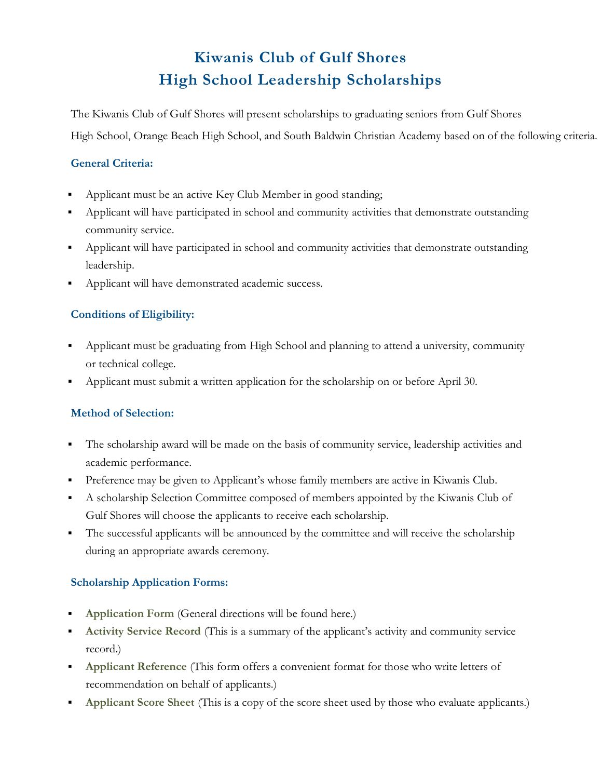# **Kiwanis Club of Gulf Shores High School Leadership Scholarships**

The Kiwanis Club of Gulf Shores will present scholarships to graduating seniors from Gulf Shores High School, Orange Beach High School, and South Baldwin Christian Academy based on of the following criteria.

### **General Criteria:**

- Applicant must be an active Key Club Member in good standing;
- Applicant will have participated in school and community activities that demonstrate outstanding community service.
- Applicant will have participated in school and community activities that demonstrate outstanding leadership.
- **Applicant will have demonstrated academic success.**

## **Conditions of Eligibility:**

- Applicant must be graduating from High School and planning to attend a university, community or technical college.
- Applicant must submit a written application for the scholarship on or before April 30.

## **Method of Selection:**

- The scholarship award will be made on the basis of community service, leadership activities and academic performance.
- **Preference may be given to Applicant's whose family members are active in Kiwanis Club.**
- A scholarship Selection Committee composed of members appointed by the Kiwanis Club of Gulf Shores will choose the applicants to receive each scholarship.
- The successful applicants will be announced by the committee and will receive the scholarship during an appropriate awards ceremony.

### **Scholarship Application Forms:**

- **Application Form** (General directions will be found here.)
- **Activity Service Record** (This is a summary of the applicant's activity and community service record.)
- **Applicant Reference** (This form offers a convenient format for those who write letters of recommendation on behalf of applicants.)
- **Applicant Score Sheet** (This is a copy of the score sheet used by those who evaluate applicants.)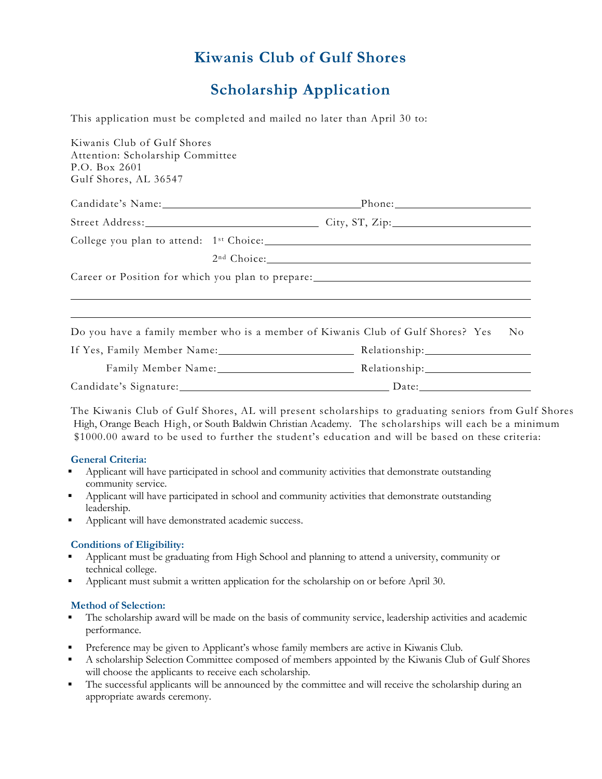# **Scholarship Application**

This application must be completed and mailed no later than April 30 to:

| Kiwanis Club of Gulf Shores<br>Attention: Scholarship Committee |                                                                                         |
|-----------------------------------------------------------------|-----------------------------------------------------------------------------------------|
| P.O. Box 2601                                                   |                                                                                         |
| Gulf Shores, AL 36547                                           |                                                                                         |
|                                                                 | Candidate's Name: Phone: Phone:                                                         |
|                                                                 | Street Address: City, ST, Zip:                                                          |
|                                                                 |                                                                                         |
|                                                                 | 2 <sup>nd</sup> Choice:                                                                 |
|                                                                 |                                                                                         |
|                                                                 | ,我们也不会有什么。""我们的人,我们也不会有什么?""我们的人,我们也不会有什么?""我们的人,我们也不会有什么?""我们的人,我们也不会有什么?""我们的人        |
|                                                                 | Do you have a family member who is a member of Kiwanis Club of Gulf Shores? Yes<br>No - |
|                                                                 |                                                                                         |
|                                                                 | Family Member Name: Manner Manner Relationship: Melationship:                           |
|                                                                 | Candidate's Signature: Date: Date:                                                      |

The Kiwanis Club of Gulf Shores, AL will present scholarships to graduating seniors from Gulf Shores High, Orange Beach High, or South Baldwin Christian Academy. The scholarships will each be a minimum \$1000.00 award to be used to further the student's education and will be based on these criteria:

#### **General Criteria:**

- Applicant will have participated in school and community activities that demonstrate outstanding community service.
- Applicant will have participated in school and community activities that demonstrate outstanding leadership.
- Applicant will have demonstrated academic success.

#### **Conditions of Eligibility:**

- Applicant must be graduating from High School and planning to attend a university, community or technical college.
- Applicant must submit a written application for the scholarship on or before April 30.

#### **Method of Selection:**

- The scholarship award will be made on the basis of community service, leadership activities and academic performance.
- Preference may be given to Applicant's whose family members are active in Kiwanis Club.
- A scholarship Selection Committee composed of members appointed by the Kiwanis Club of Gulf Shores will choose the applicants to receive each scholarship.
- The successful applicants will be announced by the committee and will receive the scholarship during an appropriate awards ceremony.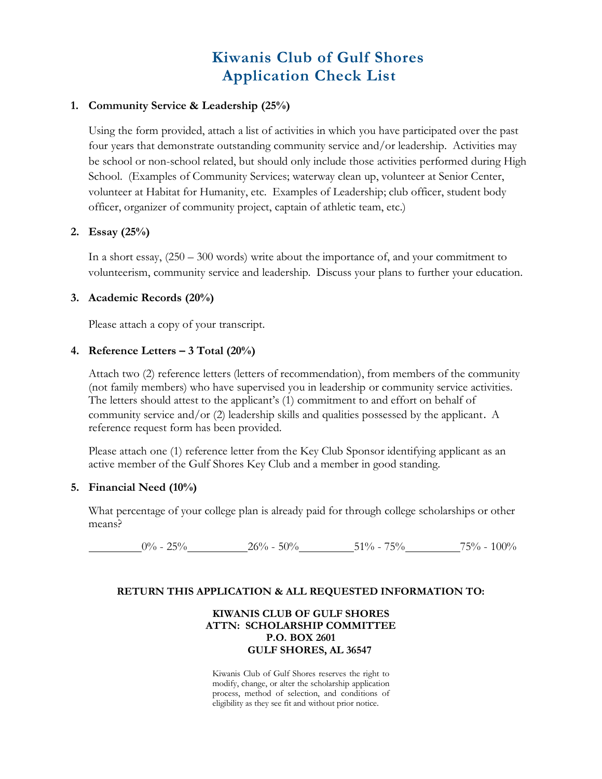## **Kiwanis Club of Gulf Shores Application Check List**

#### **1. Community Service & Leadership (25%)**

Using the form provided, attach a list of activities in which you have participated over the past four years that demonstrate outstanding community service and/or leadership. Activities may be school or non-school related, but should only include those activities performed during High School. (Examples of Community Services; waterway clean up, volunteer at Senior Center, volunteer at Habitat for Humanity, etc. Examples of Leadership; club officer, student body officer, organizer of community project, captain of athletic team, etc.)

#### **2. Essay (25%)**

In a short essay, (250 – 300 words) write about the importance of, and your commitment to volunteerism, community service and leadership. Discuss your plans to further your education.

#### **3. Academic Records (20%)**

Please attach a copy of your transcript.

#### **4. Reference Letters – 3 Total (20%)**

Attach two (2) reference letters (letters of recommendation), from members of the community (not family members) who have supervised you in leadership or community service activities. The letters should attest to the applicant's (1) commitment to and effort on behalf of community service and/or (2) leadership skills and qualities possessed by the applicant. A reference request form has been provided.

Please attach one (1) reference letter from the Key Club Sponsor identifying applicant as an active member of the Gulf Shores Key Club and a member in good standing.

#### **5. Financial Need (10%)**

What percentage of your college plan is already paid for through college scholarships or other means?

 $0\%$  - 25% 26% - 50% 51% - 75% 75% - 100%

#### **RETURN THIS APPLICATION & ALL REQUESTED INFORMATION TO:**

#### **KIWANIS CLUB OF GULF SHORES ATTN: SCHOLARSHIP COMMITTEE P.O. BOX 2601 GULF SHORES, AL 36547**

Kiwanis Club of Gulf Shores reserves the right to modify, change, or alter the scholarship application process, method of selection, and conditions of eligibility as they see fit and without prior notice.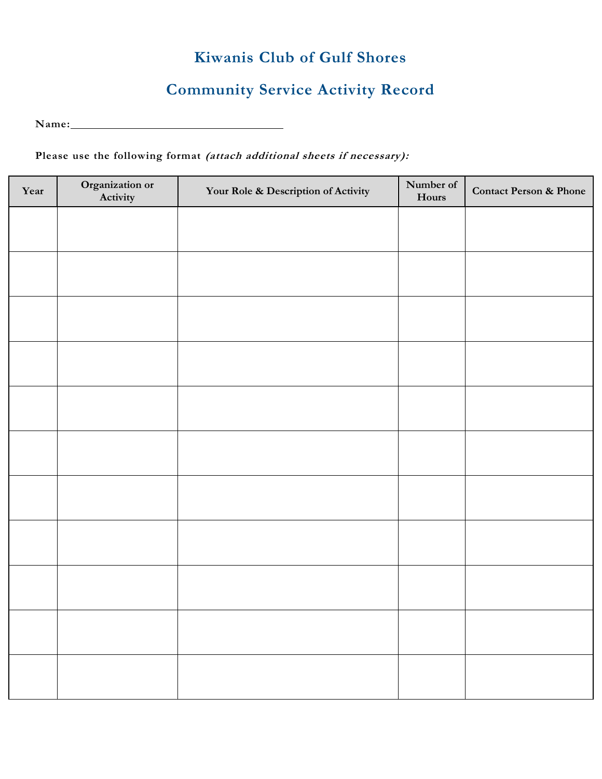# **Community Service Activity Record**

<u> 1980 - Johann Barn, mars eta bainar eta bainar eta baina eta baina eta baina eta baina eta baina eta baina e</u> Name:

### **Please use the following format (attach additional sheets if necessary):**

| Year | Organization or<br>Activity | Your Role & Description of Activity | Number of<br>Hours | <b>Contact Person &amp; Phone</b> |
|------|-----------------------------|-------------------------------------|--------------------|-----------------------------------|
|      |                             |                                     |                    |                                   |
|      |                             |                                     |                    |                                   |
|      |                             |                                     |                    |                                   |
|      |                             |                                     |                    |                                   |
|      |                             |                                     |                    |                                   |
|      |                             |                                     |                    |                                   |
|      |                             |                                     |                    |                                   |
|      |                             |                                     |                    |                                   |
|      |                             |                                     |                    |                                   |
|      |                             |                                     |                    |                                   |
|      |                             |                                     |                    |                                   |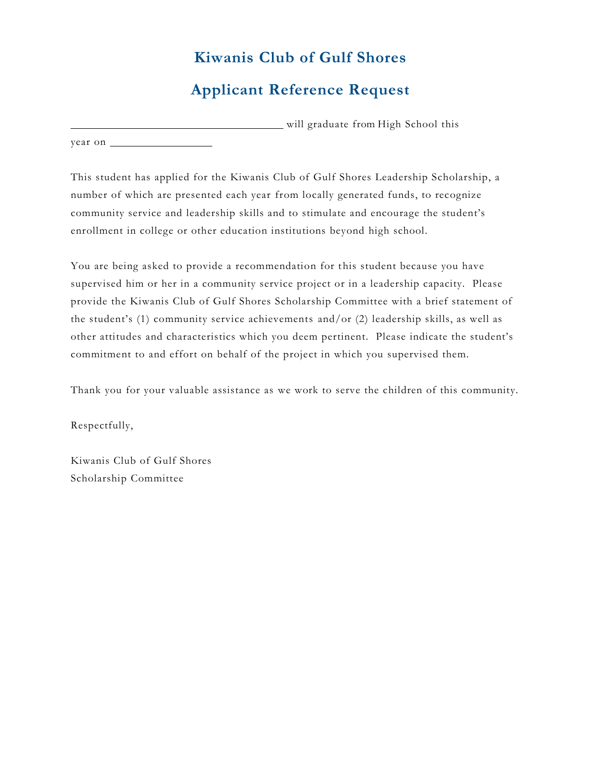## **Applicant Reference Request**

 will graduate from High School this year on

This student has applied for the Kiwanis Club of Gulf Shores Leadership Scholarship, a number of which are presented each year from locally generated funds, to recognize community service and leadership skills and to stimulate and encourage the student's enrollment in college or other education institutions beyond high school.

You are being asked to provide a recommendation for this student because you have supervised him or her in a community service project or in a leadership capacity. Please provide the Kiwanis Club of Gulf Shores Scholarship Committee with a brief statement of the student's (1) community service achievements and/or (2) leadership skills, as well as other attitudes and characteristics which you deem pertinent. Please indicate the student's commitment to and effort on behalf of the project in which you supervised them.

Thank you for your valuable assistance as we work to serve the children of this community.

Respectfully,

Kiwanis Club of Gulf Shores Scholarship Committee